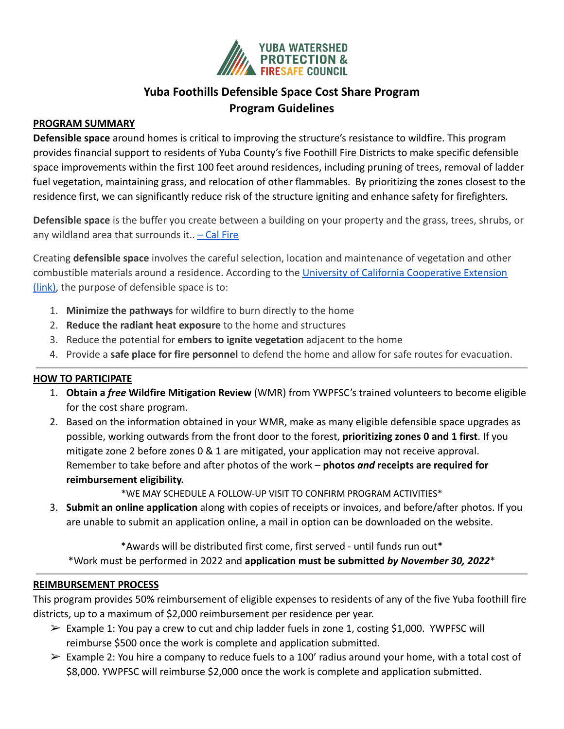

# **Yuba Foothills Defensible Space Cost Share Program Program Guidelines**

### **PROGRAM SUMMARY**

**Defensible space** around homes is critical to improving the structure's resistance to wildfire. This program provides financial support to residents of Yuba County's five Foothill Fire Districts to make specific defensible space improvements within the first 100 feet around residences, including pruning of trees, removal of ladder fuel vegetation, maintaining grass, and relocation of other flammables. By prioritizing the zones closest to the residence first, we can significantly reduce risk of the structure igniting and enhance safety for firefighters.

**Defensible space** is the buffer you create between a building on your property and the grass, trees, shrubs, or any wildland area that surrounds it..  $-$  Cal Fire

Creating **defensible space** involves the careful selection, location and maintenance of vegetation and other combustible materials around a residence. According to the [University of California Cooperative Extension](https://ucanr.edu/sites/fire/Prepare/Landscaping/DefensibleSpace/) [\(link\),](https://ucanr.edu/sites/fire/Prepare/Landscaping/DefensibleSpace/) the purpose of defensible space is to:

- 1. **Minimize the pathways** for wildfire to burn directly to the home
- 2. **Reduce the radiant heat exposure** to the home and structures
- 3. Reduce the potential for **embers to ignite vegetation** adjacent to the home
- 4. Provide a **safe place for fire personnel** to defend the home and allow for safe routes for evacuation.

### **HOW TO PARTICIPATE**

- 1. **Obtain a** *free* **Wildfire Mitigation Review** (WMR) from YWPFSC's trained volunteers to become eligible for the cost share program.
- 2. Based on the information obtained in your WMR, make as many eligible defensible space upgrades as possible, working outwards from the front door to the forest, **prioritizing zones 0 and 1 first**. If you mitigate zone 2 before zones 0 & 1 are mitigated, your application may not receive approval. Remember to take before and after photos of the work – **photos** *and* **receipts are required for reimbursement eligibility.**

\*WE MAY SCHEDULE A FOLLOW-UP VISIT TO CONFIRM PROGRAM ACTIVITIES\*

3. **Submit an online application** along with copies of receipts or invoices, and before/after photos. If you are unable to submit an application online, a mail in option can be downloaded on the website.

\*Awards will be distributed first come, first served - until funds run out\* \*Work must be performed in 2022 and **application must be submitted** *by November 30, 2022*\*

### **REIMBURSEMENT PROCESS**

This program provides 50% reimbursement of eligible expenses to residents of any of the five Yuba foothill fire districts, up to a maximum of \$2,000 reimbursement per residence per year.

- $\triangleright$  Example 1: You pay a crew to cut and chip ladder fuels in zone 1, costing \$1,000. YWPFSC will reimburse \$500 once the work is complete and application submitted.
- $\triangleright$  Example 2: You hire a company to reduce fuels to a 100' radius around your home, with a total cost of \$8,000. YWPFSC will reimburse \$2,000 once the work is complete and application submitted.